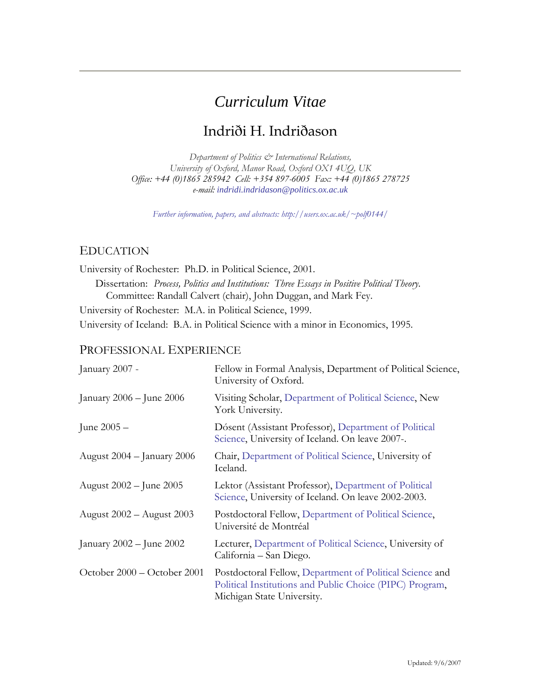# *Curriculum Vitae*

# Indriði H. Indriðason

*[Department of Politics & International Relations](http://www.politics.ox.ac.uk/), [University of Oxford](http://www.ox.ac.uk/), Manor Road, Oxford OX1 4UQ, UK Office: +44 (0)1865 285942 Cell: +354 897-6005 Fax: +44 (0)1865 278725 e-mail: [indridi.indridason@politics.ox.ac.uk](mailto:indridi.indridason@politics.ox.ac.uk)*

*[Further information, papers, and abstracts: http://users.ox.ac.uk/~polf0144/](http://users.ox.ac.uk/%7Epolf0144/)*

#### EDUCATION

[University of Rochester](http://www.rochester.edu/): Ph.D. in Political Science, 2001. Dissertation: *Process, Politics and Institutions: Three Essays in Positive Political Theory*. Committee: Randall Calvert (chair), John Duggan, and Mark Fey. [University of Rochester](http://www.rochester.edu/): M.A. in Political Science, 1999.

[University of Iceland:](http://www.hi.is/nam/fel/stjorn) B.A. in Political Science with a minor in Economics, 1995.

### PROFESSIONAL EXPERIENCE

| January 2007 -               | Fellow in Formal Analysis, Department of Political Science,<br>University of Oxford.                                                               |
|------------------------------|----------------------------------------------------------------------------------------------------------------------------------------------------|
| January $2006 -$ June $2006$ | Visiting Scholar, Department of Political Science, New<br>York University.                                                                         |
| June $2005 -$                | Dósent (Assistant Professor), Department of Political<br>Science, University of Iceland. On leave 2007-.                                           |
| August 2004 – January 2006   | Chair, Department of Political Science, University of<br>Iceland.                                                                                  |
| August 2002 – June 2005      | Lektor (Assistant Professor), Department of Political<br>Science, University of Iceland. On leave 2002-2003.                                       |
| August 2002 - August 2003    | Postdoctoral Fellow, Department of Political Science,<br>Université de Montréal                                                                    |
| January $2002 -$ June $2002$ | Lecturer, Department of Political Science, University of<br>California – San Diego.                                                                |
| October 2000 - October 2001  | Postdoctoral Fellow, Department of Political Science and<br>Political Institutions and Public Choice (PIPC) Program,<br>Michigan State University. |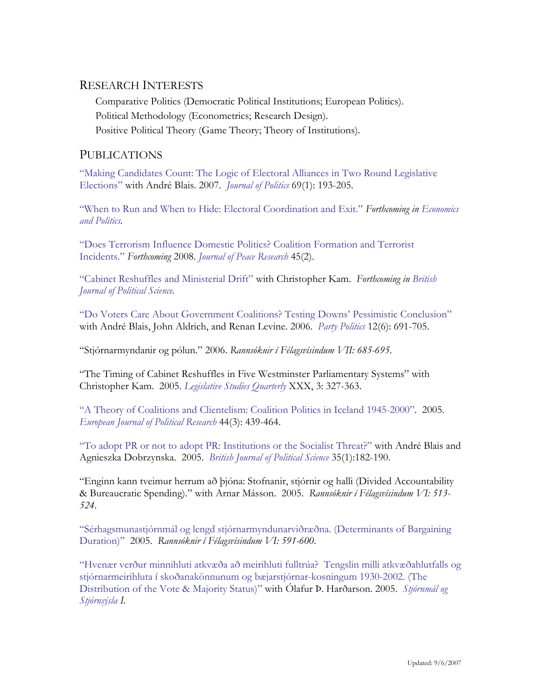### RESEARCH INTERESTS

Comparative Politics (Democratic Political Institutions; European Politics). Political Methodology (Econometrics; Research Design). Positive Political Theory (Game Theory; Theory of Institutions).

## PUBLICATIONS

["Making Candidates Count: The Logic of Electoral Alliances in Two Round Legislative](http://www.journalofpolitics.org/art69_1.html#a15)  [Elections"](http://www.journalofpolitics.org/art69_1.html#a15) with André Blais. 2007. *[Journal of Politics](http://journalofpolitics.org/art69_1.html#a15)* 69(1): 193-205.

["When to Run and When to Hide: Electoral Coordination and Exit."](http://www.blackwell-synergy.com/doi/pdf/10.1111/j.1468-0343.2007.00315.x) *Forthcoming in [Economics](http://www.blackwellpublishing.com/journal.asp?ref=0954-1985)  [and Politics](http://www.blackwellpublishing.com/journal.asp?ref=0954-1985).* 

["Does Terrorism Influence Domestic Politics? Coalition Formation and Terrorist](http://www.hi.is/%7Eihi/Research.htm)  [Incidents."](http://www.hi.is/%7Eihi/Research.htm) *Forthcoming* 2008. *[Journal of Peace Research](http://jpr.sagepub.com/)* 45(2).

["Cabinet Reshuffles and Ministerial Drift"](http://www.hi.is/%7Eihi/Research.htm) with Christopher Kam. *Forthcoming in [British](http://journals.cambridge.org/action/displayJournal?jid=JPS)  [Journal of Political Science](http://journals.cambridge.org/action/displayJournal?jid=JPS).* 

["Do Voters Care About Government Coalitions? Testing Downs' Pessimistic Conclusion"](http://ppq.sagepub.com/cgi/content/abstract/12/6/691) with André Blais, John Aldrich, and Renan Levine. 2006. *[Party Politics](http://ppq.sagepub.com/cgi/content/abstract/12/6/691)* 12(6): 691-705.

"Stjórnarmyndanir og pólun." 2006. *Rannsóknir í Félagsvísindum VII: 685-695*.

"The Timing of Cabinet Reshuffles in Five Westminster Parliamentary Systems" with Christopher Kam. 2005. *[Legislative Studies Quarterly](http://www.uiowa.edu/~lsq/All Abstracts.htm#Volume%20XXX)* XXX, 3: 327-363.

["A Theory of Coalitions and Clientelism: Coalition Politics in Iceland 1945-2000"](http://www.hi.is/%7Eihi/Research.htm). 2005. *[European Journal of Political Research](http://www.blackwell-synergy.com/toc/ejpr/44/3)* 44(3): 439-464.

["To adopt PR or not to adopt PR: Institutions or the Socialist Threat?"](http://www.hi.is/%7Eihi/Research.htm) with André Blais and Agnieszka Dobrzynska. 2005. *[British Journal of Political Science](http://journals.cambridge.org/action/displayJournal?jid=JPS)* 35(1):182-190.

"Enginn kann tveimur herrum að þjóna: Stofnanir, stjórnir og halli (Divided Accountability & Bureaucratic Spending)." with Arnar Másson. 2005. *Rannsóknir í Félagsvísindum VI: 513- 524*.

["Sérhagsmunastjórnmál og lengd stjórnarmyndunarviðræðna. \(Determinants of Bargaining](http://stjornmalogstjornsysla.is/index.php?option=com_content&task=category§ionid=6&id=51&Itemid=47)  [Duration\)"](http://stjornmalogstjornsysla.is/index.php?option=com_content&task=category§ionid=6&id=51&Itemid=47) 2005. *Rannsóknir í Félagsvísindum VI: 591-600*.

["Hvenær verður minnihluti atkvæða að meirihluti fulltrúa? Tengslin milli atkvæðahlutfalls og](http://stjornmalogstjornsysla.is/index.php?option=com_content&task=category§ionid=6&id=51&Itemid=47)  [stjórnarmeirihluta í skoðanakönnunum og bæjarstjórnar-kosningum 1930-2002. \(The](http://stjornmalogstjornsysla.is/index.php?option=com_content&task=category§ionid=6&id=51&Itemid=47)  [Distribution of the Vote & Majority Status\)"](http://stjornmalogstjornsysla.is/index.php?option=com_content&task=category§ionid=6&id=51&Itemid=47) with Ólafur Þ. Harðarson. 2005. *[Stjórnmál og](http://stjornmalogstjornsysla.is/)  [Stjórnsýsla](http://stjornmalogstjornsysla.is/) I.*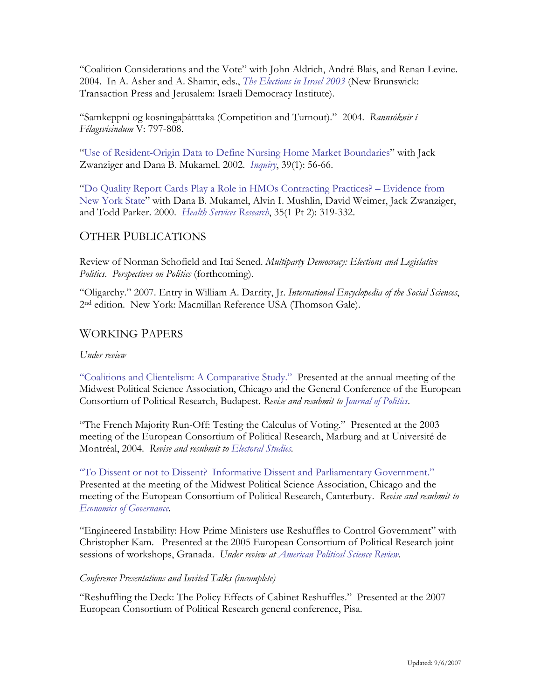"Coalition Considerations and the Vote" with John Aldrich, André Blais, and Renan Levine. 2004. In A. Asher and A. Shamir, eds., *[The Elections in Israel 2003](http://www.transactionpub.com/the-elections-in-israel-2003-cloth-2005)* (New Brunswick: Transaction Press and Jerusalem: Israeli Democracy Institute).

"Samkeppni og kosningaþátttaka (Competition and Turnout)." 2004. *Rannsóknir í Félagsvísindum* V: 797-808.

["Use of Resident-Origin Data to Define Nursing Home Market Boundaries](http://www.ncbi.nlm.nih.gov/entrez/query.fcgi?cmd=Retrieve&db=pubmed&dopt=Abstract&list_uids=12067076)" with Jack Zwanziger and Dana B. Mukamel. 2002. *[Inquiry](http://www.inquiryjournal.org/spring_2002.html#resident)*, 39(1): 56-66.

["Do Quality Report Cards Play a Role in HMOs Contracting Practices? – Evidence from](http://www.ncbi.nlm.nih.gov/entrez/query.fcgi?cmd=Retrieve&db=PubMed&list_uids=12067076&dopt=Abstract)  [New York State](http://www.ncbi.nlm.nih.gov/entrez/query.fcgi?cmd=Retrieve&db=PubMed&list_uids=12067076&dopt=Abstract)" with Dana B. Mukamel, Alvin I. Mushlin, David Weimer, Jack Zwanziger, and Todd Parker. 2000. *[Health Services Research](http://www.hsr.org/)*, 35(1 Pt 2): 319-332.

# OTHER PUBLICATIONS

Review of Norman Schofield and Itai Sened. *Multiparty Democracy: Elections and Legislative Politics*. *Perspectives on Politics* (forthcoming).

"Oligarchy." 2007. Entry in William A. Darrity, Jr. *International Encyclopedia of the Social Sciences*, 2nd edition. New York: Macmillan Reference USA (Thomson Gale).

# WORKING PAPERS

#### *Under review*

["Coalitions and Clientelism: A Comparative Study."](http://www.hi.is/%7Eihi/Research.htm) Presented at the annual meeting of the Midwest Political Science Association, Chicago and the General Conference of the European Consortium of Political Research, Budapest. *Revise and resubmit to [Journal of Politics.](http://www.journalofpolitics.org/)* 

"The French Majority Run-Off: Testing the Calculus of Voting." Presented at the 2003 meeting of the European Consortium of Political Research, Marburg and at Université de Montréal, 2004. *Revise and resubmit to [Electoral Studies.](http://www.utdallas.edu/dept/socsci/hclarke/es/)* 

["To Dissent or not to Dissent? Informative Dissent and Parliamentary Government."](http://www.hi.is/%7Eihi/Research.htm)  Presented at the meeting of the Midwest Political Science Association, Chicago and the meeting of the European Consortium of Political Research, Canterbury. *Revise and resubmit to [Economics of Governance.](http://www.springerlink.com/content/1435-8131/)* 

"Engineered Instability: How Prime Ministers use Reshuffles to Control Government" with Christopher Kam. Presented at the 2005 European Consortium of Political Research joint sessions of workshops, Granada. *Under review at [American Political Science Review](http://www.apsanet.org/section_327.cfm)*.

#### *Conference Presentations and Invited Talks (incomplete)*

"Reshuffling the Deck: The Policy Effects of Cabinet Reshuffles." Presented at the 2007 European Consortium of Political Research general conference, Pisa.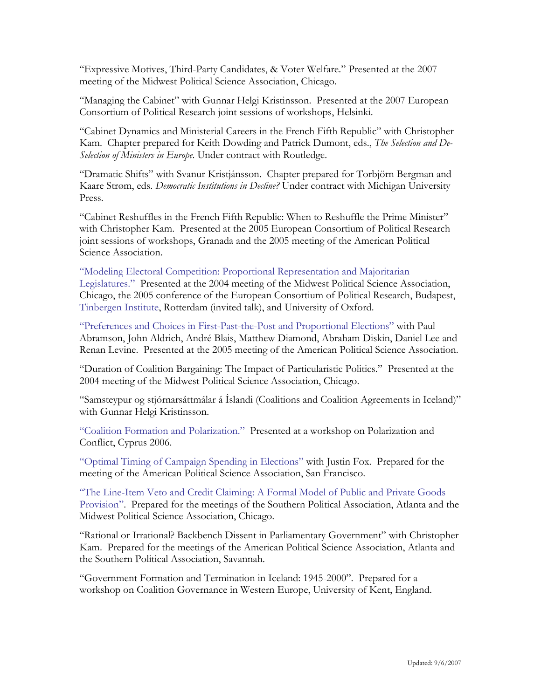"Expressive Motives, Third-Party Candidates, & Voter Welfare." Presented at the 2007 meeting of the Midwest Political Science Association, Chicago.

"Managing the Cabinet" with Gunnar Helgi Kristinsson. Presented at the 2007 European Consortium of Political Research joint sessions of workshops, Helsinki.

"Cabinet Dynamics and Ministerial Careers in the French Fifth Republic" with Christopher Kam. Chapter prepared for Keith Dowding and Patrick Dumont, eds., *The Selection and De-Selection of Ministers in Europe*. Under contract with Routledge.

"Dramatic Shifts" with Svanur Kristjánsson. Chapter prepared for Torbjörn Bergman and Kaare Strøm, eds. *Democratic Institutions in Decline?* Under contract with Michigan University Press.

"Cabinet Reshuffles in the French Fifth Republic: When to Reshuffle the Prime Minister" with Christopher Kam. Presented at the 2005 European Consortium of Political Research joint sessions of workshops, Granada and the 2005 meeting of the American Political Science Association.

["Modeling Electoral Competition: Proportional Representation and Majoritarian](http://www.hi.is/%7Eihi/Research.htm)  [Legislatures."](http://www.hi.is/%7Eihi/Research.htm) Presented at the 2004 meeting of the Midwest Political Science Association, Chicago, the 2005 conference of the European Consortium of Political Research, Budapest, [Tinbergen Institute,](http://www.tinbergen.nl/) Rotterdam (invited talk), and University of Oxford.

["Preferences and Choices in First-Past-the-Post and Proportional Elections"](http://works.bepress.com/cgi/viewcontent.cgi?article=1007&context=renan) with Paul Abramson, John Aldrich, André Blais, Matthew Diamond, Abraham Diskin, Daniel Lee and Renan Levine. Presented at the 2005 meeting of the American Political Science Association.

"Duration of Coalition Bargaining: The Impact of Particularistic Politics." Presented at the 2004 meeting of the Midwest Political Science Association, Chicago.

"Samsteypur og stjórnarsáttmálar á Íslandi (Coalitions and Coalition Agreements in Iceland)" with Gunnar Helgi Kristinsson.

["Coalition Formation and Polarization."](http://www.prio.no/files/file47689_indridason_-_coalitions_and_polarization.pdf) Presented at a workshop on Polarization and Conflict, Cyprus 2006.

["Optimal Timing of Campaign Spending in Elections"](http://www.hi.is/%7Eihi/Research.htm) with Justin Fox. Prepared for the meeting of the American Political Science Association, San Francisco.

["The Line-Item Veto and Credit Claiming: A Formal Model of Public and Private Goods](http://www.hi.is/%7Eihi/Research.htm)  [Provision"](http://www.hi.is/%7Eihi/Research.htm). Prepared for the meetings of the Southern Political Association, Atlanta and the Midwest Political Science Association, Chicago.

"Rational or Irrational? Backbench Dissent in Parliamentary Government" with Christopher Kam. Prepared for the meetings of the American Political Science Association, Atlanta and the Southern Political Association, Savannah.

"Government Formation and Termination in Iceland: 1945-2000". Prepared for a workshop on Coalition Governance in Western Europe, University of Kent, England.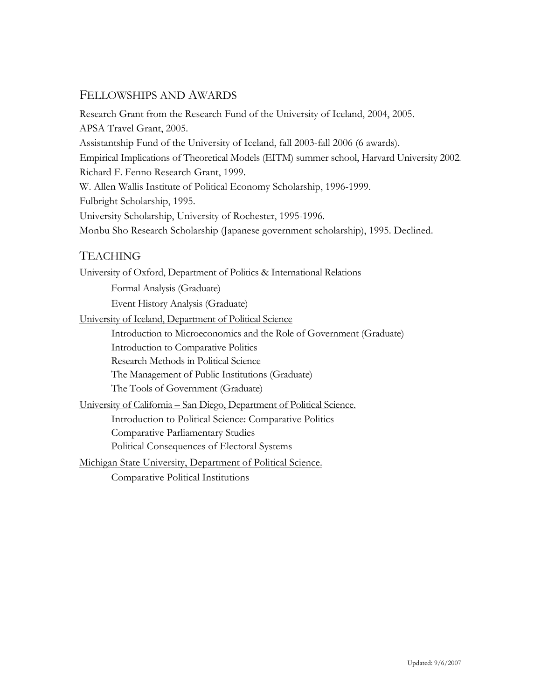# FELLOWSHIPS AND AWARDS

Research Grant from the Research Fund of the University of Iceland, 2004, 2005. APSA Travel Grant, 2005. Assistantship Fund of the University of Iceland, fall 2003-fall 2006 (6 awards). Empirical Implications of Theoretical Models (EITM) summer school, Harvard University 2002. Richard F. Fenno Research Grant, 1999. W. Allen Wallis Institute of Political Economy Scholarship, 1996-1999. Fulbright Scholarship, 1995. University Scholarship, University of Rochester, 1995-1996. Monbu Sho Research Scholarship (Japanese government scholarship), 1995. Declined.

# TEACHING

University of Oxford, Department of Politics & International Relations

 Formal Analysis (Graduate) Event History Analysis (Graduate)

University of Iceland, Department of Political Science

Introduction to Microeconomics and the Role of Government (Graduate)

Introduction to Comparative Politics

Research Methods in Political Science

The Management of Public Institutions (Graduate)

The Tools of Government (Graduate)

[University of California – San Diego, Department of Political Science](http://www.polisci.ucsd.edu/).

Introduction to Political Science: Comparative Politics

Comparative Parliamentary Studies

Political Consequences of Electoral Systems

[Michigan State University, Department of Political Science.](http://polisci.msu.edu/%7Epls/polisciweb/index.html)

Comparative Political Institutions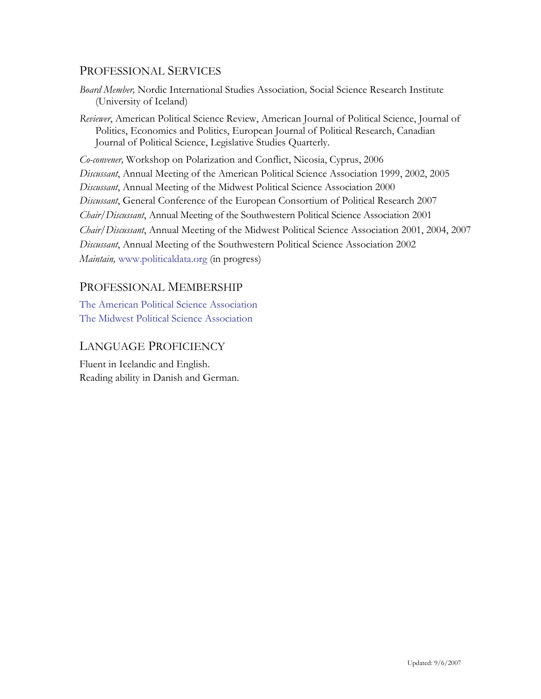# PROFESSIONAL SERVICES

- *Board Member,* Nordic International Studies Association*,* Social Science Research Institute (University of Iceland)
- *Reviewer*, American Political Science Review, American Journal of Political Science, Journal of Politics, Economics and Politics, European Journal of Political Research, Canadian Journal of Political Science, Legislative Studies Quarterly.

*Co-convener,* Workshop on Polarization and Conflict, Nicosia, Cyprus, 2006 *Discussant*, Annual Meeting of the American Political Science Association 1999, 2002, 2005 *Discussant*, Annual Meeting of the Midwest Political Science Association 2000 *Discussant*, General Conference of the European Consortium of Political Research 2007 *Chair/Discussant*, Annual Meeting of the Southwestern Political Science Association 2001 *Chair/Discussant*, Annual Meeting of the Midwest Political Science Association 2001, 2004, 2007 *Discussant*, Annual Meeting of the Southwestern Political Science Association 2002 *Maintain,* [www.politicaldata.org](http://www.politicaldata.org/) (in progress)

# PROFESSIONAL MEMBERSHIP

[The American Political Science Association](http://www.apsanet.org/) [The Midwest Political Science Association](http://www.mwpsa.org/)

# LANGUAGE PROFICIENCY

Fluent in Icelandic and English. Reading ability in Danish and German.